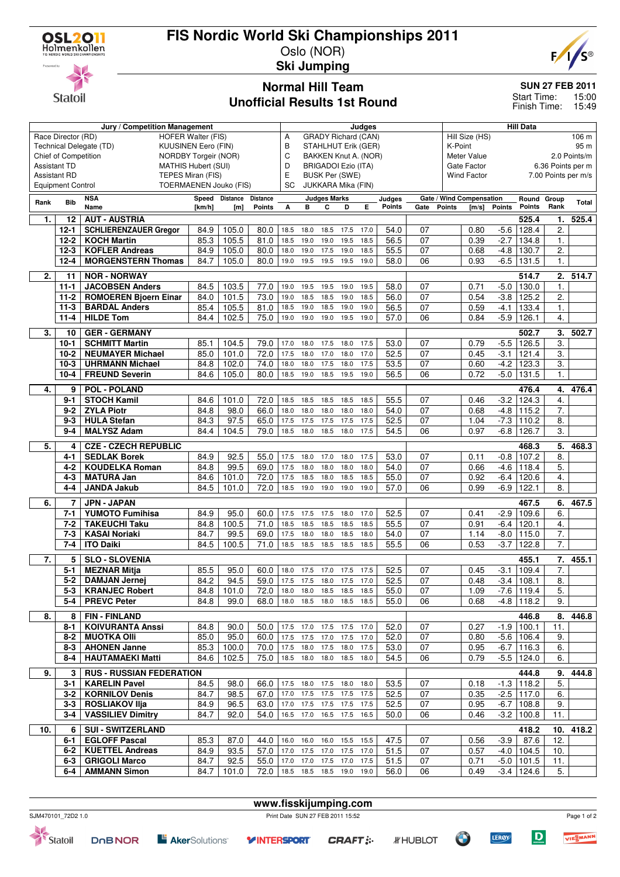

## **FIS Nordic World Ski Championships 2011**

Oslo (NOR) **Ski Jumping**



**Statoil** 

### **Normal Hill Team Unofficial Results 1st Round**

#### **SUN 27 FEB 2011**

Start Time: 15:00 Finish Time: 15:49

| Jury / Competition Management                     |                                                       |                                                      |                               |                |                                       |                           |                                 | Judges                               |              |              |               |          |                | <b>Hill Data</b>                 |                  |                       |                        |                     |
|---------------------------------------------------|-------------------------------------------------------|------------------------------------------------------|-------------------------------|----------------|---------------------------------------|---------------------------|---------------------------------|--------------------------------------|--------------|--------------|---------------|----------|----------------|----------------------------------|------------------|-----------------------|------------------------|---------------------|
| Race Director (RD)<br>HOFER Walter (FIS)          |                                                       |                                                      |                               |                |                                       |                           |                                 | <b>GRADY Richard (CAN)</b>           |              |              |               |          | Hill Size (HS) |                                  |                  |                       | 106 m                  |                     |
|                                                   | Technical Delegate (TD)<br><b>KUUSINEN Eero (FIN)</b> |                                                      |                               |                |                                       |                           |                                 | Α<br>В<br><b>STAHLHUT Erik (GER)</b> |              |              |               |          |                |                                  | K-Point          |                       |                        | 95 m                |
|                                                   | Chief of Competition                                  |                                                      | NORDBY Torgeir (NOR)          |                |                                       | C<br>BAKKEN Knut A. (NOR) |                                 |                                      |              |              |               |          | Meter Value    |                                  |                  |                       | 2.0 Points/m           |                     |
| <b>Assistant TD</b><br><b>MATHIS Hubert (SUI)</b> |                                                       |                                                      |                               |                |                                       |                           | D<br><b>BRIGADOI Ezio (ITA)</b> |                                      |              |              |               |          |                | Gate Factor<br>6.36 Points per m |                  |                       |                        |                     |
|                                                   | <b>Assistant RD</b>                                   |                                                      | TEPES Miran (FIS)             |                |                                       | E                         |                                 | <b>BUSK Per (SWE)</b>                |              |              |               |          |                | <b>Wind Factor</b>               |                  |                       |                        | 7.00 Points per m/s |
|                                                   | <b>Equipment Control</b>                              |                                                      | <b>TOERMAENEN Jouko (FIS)</b> |                |                                       | <b>SC</b>                 |                                 | JUKKARA Mika (FIN)                   |              |              |               |          |                |                                  |                  |                       |                        |                     |
| Rank                                              | <b>Bib</b>                                            | <b>NSA</b>                                           |                               | Speed Distance | <b>Distance</b>                       |                           |                                 | <b>Judges Marks</b>                  |              |              | Judges        |          |                | Gate / Wind Compensation         |                  | Round Group           |                        | Total               |
|                                                   |                                                       | Name                                                 | [km/h]                        | [m]            | <b>Points</b>                         | А                         | в                               | C                                    | D            | Е            | <b>Points</b> | Gate     | <b>Points</b>  | [m/s]                            | <b>Points</b>    | Points                | Rank                   |                     |
| $\mathbf{1}$                                      | 12                                                    | <b>AUT - AUSTRIA</b>                                 |                               |                |                                       |                           |                                 |                                      |              |              |               |          |                |                                  |                  | 525.4                 | 1.                     | 525.4               |
|                                                   | $12 - 1$                                              | <b>SCHLIERENZAUER Gregor</b>                         | 84.9                          | 105.0          | 80.0                                  | 18.5                      | 18.0                            | 18.5                                 | 17.5         | 17.0         | 54.0          | 07       |                | 0.80                             | $-5.6$           | 128.4                 | 2.                     |                     |
|                                                   | $12 - 2$<br>$12 - 3$                                  | <b>KOCH Martin</b><br><b>KOFLER Andreas</b>          | 85.3<br>84.9                  | 105.5<br>105.0 | 81.0<br>80.0                          | 18.5<br>18.0              | 19.0<br>19.0                    | 19.0<br>17.5                         | 19.5<br>19.0 | 18.5<br>18.5 | 56.5<br>55.5  | 07<br>07 |                | 0.39                             | $-2.7$<br>$-4.8$ | 134.8<br>130.7        | 1.<br>2.               |                     |
|                                                   | $12 - 4$                                              | <b>MORGENSTERN Thomas</b>                            | 84.7                          | 105.0          | 80.0                                  | 19.0                      | 19.5                            | 19.5                                 | 19.5         | 19.0         | 58.0          | 06       |                | 0.68<br>0.93                     | $-6.5$           | 131.5                 | $\mathbf{1}$ .         |                     |
|                                                   |                                                       |                                                      |                               |                |                                       |                           |                                 |                                      |              |              |               |          |                |                                  |                  |                       |                        |                     |
| 2.                                                | 11                                                    | <b>NOR - NORWAY</b>                                  |                               |                |                                       |                           |                                 |                                      |              |              |               |          |                |                                  |                  | 514.7                 |                        | 2. 514.7            |
|                                                   | $11 - 1$                                              | <b>JACOBSEN Anders</b>                               | 84.5                          | 103.5          | 77.0                                  | 19.0                      | 19.5                            | 19.5                                 | 19.0         | 19.5         | 58.0          | 07       |                | 0.71                             | $-5.0$           | 130.0                 | 1.                     |                     |
|                                                   | $11 - 2$<br>$11-3$                                    | <b>ROMOEREN Bjoern Einar</b><br><b>BARDAL Anders</b> | 84.0<br>85.4                  | 101.5<br>105.5 | 73.0<br>81.0                          | 19.0<br>18.5              | 18.5<br>19.0                    | 18.5<br>18.5 19.0                    | 19.0         | 18.5<br>19.0 | 56.0<br>56.5  | 07<br>07 |                | 0.54<br>0.59                     | $-3.8$<br>$-4.1$ | 125.2<br>133.4        | 2.<br>$\mathbf{1}$ .   |                     |
|                                                   | $11 - 4$                                              | <b>HILDE Tom</b>                                     | 84.4                          | 102.5          | 75.0                                  | 19.0                      | 19.0                            | 19.0                                 | 19.5         | 19.0         | 57.0          | 06       |                | 0.84                             | $-5.9$           | 126.1                 | 4.                     |                     |
|                                                   |                                                       |                                                      |                               |                |                                       |                           |                                 |                                      |              |              |               |          |                |                                  |                  |                       |                        |                     |
| 3.                                                | 10<br>$10-1$                                          | <b>GER - GERMANY</b>                                 |                               |                |                                       |                           |                                 |                                      |              |              |               |          |                |                                  |                  | 502.7                 | 3.                     | 502.7               |
|                                                   | $10-2$                                                | <b>SCHMITT Martin</b><br><b>NEUMAYER Michael</b>     | 85.1<br>85.0                  | 104.5<br>101.0 | 79.0<br>72.0                          | 17.0<br>17.5              | 18.0<br>18.0                    | 17.5<br>17.0                         | 18.0<br>18.0 | 17.5<br>17.0 | 53.0<br>52.5  | 07<br>07 |                | 0.79<br>0.45                     | $-5.5$<br>$-3.1$ | 126.5<br>121.4        | 3.<br>3.               |                     |
|                                                   | $10-3$                                                | <b>UHRMANN Michael</b>                               | 84.8                          | 102.0          | 74.0                                  | 18.0                      | 18.0                            | 17.5                                 | 18.0         | 17.5         | 53.5          | 07       |                | 0.60                             | $-4.2$           | 123.3                 | 3.                     |                     |
|                                                   | $10 - 4$                                              | <b>FREUND Severin</b>                                | 84.6                          | 105.0          | 80.0                                  | 18.5                      | 19.0                            | 18.5                                 | 19.5         | 19.0         | 56.5          | 06       |                | 0.72                             | $-5.0$           | 131.5                 | 1.                     |                     |
| 4.                                                | 9                                                     | <b>POL - POLAND</b>                                  |                               |                |                                       |                           |                                 |                                      |              |              |               |          |                |                                  |                  | 476.4                 | 4.                     | 476.4               |
|                                                   | $9 - 1$                                               | <b>STOCH Kamil</b>                                   | 84.6                          | 101.0          | 72.0                                  | 18.5                      | 18.5                            | 18.5                                 | 18.5         | 18.5         | 55.5          | 07       |                | 0.46                             | $-3.2$           | 124.3                 | 4.                     |                     |
|                                                   | $9 - 2$                                               | <b>ZYLA Piotr</b>                                    | 84.8                          | 98.0           | 66.0                                  | 18.0                      | 18.0                            | 18.0                                 | 18.0         | 18.0         | 54.0          | 07       |                | 0.68                             | $-4.8$           | 115.2                 | 7.                     |                     |
|                                                   | $9 - 3$                                               | <b>HULA Stefan</b>                                   | 84.3                          | 97.5           | 65.0                                  | 17.5                      | 17.5                            | 17.5                                 | 17.5         | 17.5         | 52.5          | 07       |                | 1.04                             | $-7.3$           | 110.2                 | 8.                     |                     |
|                                                   | 9-4                                                   | <b>MALYSZ Adam</b>                                   | 84.4                          | 104.5          | 79.0                                  | 18.5                      | 18.0                            | 18.5                                 | 18.0         | 17.5         | 54.5          | 06       |                | 0.97                             | $-6.8$           | 126.7                 | 3.                     |                     |
| 5.                                                | 4                                                     | <b>CZE - CZECH REPUBLIC</b>                          |                               |                |                                       |                           |                                 |                                      |              |              |               |          |                |                                  |                  | 468.3                 | 5.                     | 468.3               |
|                                                   | 4-1                                                   | <b>SEDLAK Borek</b>                                  | 84.9                          | 92.5           | 55.0                                  | 17.5                      | 18.0                            | 17.0                                 | 18.0         | 17.5         | 53.0          | 07       |                | 0.11                             | $-0.8$           | 107.2                 | 8.                     |                     |
|                                                   | 4-2                                                   | <b>KOUDELKA Roman</b>                                | 84.8                          | 99.5           | 69.0                                  | 17.5                      | 18.0                            | 18.0                                 | 18.0         | 18.0         | 54.0          | 07       |                | 0.66                             | $-4.6$           | 118.4                 | 5.                     |                     |
|                                                   | $4 - 3$                                               | <b>MATURA Jan</b>                                    | 84.6                          | 101.0          | 72.0                                  | 17.5                      | 18.5                            | 18.0                                 | 18.5         | 18.5         | 55.0          | 07       |                | 0.92                             | $-6.4$           | 120.6                 | 4.                     |                     |
|                                                   | 4-4                                                   | <b>JANDA Jakub</b>                                   | 84.5                          | 101.0          | 72.0                                  | 18.5                      | 19.0                            | 19.0                                 | 19.0         | 19.0         | 57.0          | 06       |                | 0.99                             | $-6.9$           | 122.1                 | 8.                     |                     |
| 6.                                                | 7                                                     | <b>JPN - JAPAN</b>                                   |                               |                |                                       |                           |                                 |                                      |              |              |               |          |                |                                  |                  | 467.5                 | 6.                     | 467.5               |
|                                                   | $7 - 1$                                               | <b>YUMOTO Fumihisa</b>                               | 84.9                          | 95.0           | 60.0                                  | 17.5                      | 17.5                            | 17.5                                 | 18.0         | 17.0         | 52.5          | 07       |                | 0.41                             | $-2.9$           | 109.6                 | 6.                     |                     |
|                                                   | $7 - 2$                                               | <b>TAKEUCHI Taku</b>                                 | 84.8                          | 100.5          | 71.0                                  | 18.5                      | 18.5                            | 18.5                                 | 18.5         | 18.5         | 55.5          | 07       |                | 0.91                             | $-6.4$           | 120.1                 | 4.                     |                     |
|                                                   | $7 - 3$<br>$7 - 4$                                    | <b>KASAI Noriaki</b><br><b>ITO Daiki</b>             | 84.7<br>84.5                  | 99.5<br>100.5  | 69.0<br>71.0                          | 17.5<br>18.5              | 18.0<br>18.5                    | 18.0<br>18.5 18.5                    | 18.5         | 18.0<br>18.5 | 54.0<br>55.5  | 07<br>06 |                | 1.14<br>0.53                     | $-8.0$<br>$-3.7$ | 115.0<br>122.8        | 7.<br>$\overline{7}$ . |                     |
|                                                   |                                                       |                                                      |                               |                |                                       |                           |                                 |                                      |              |              |               |          |                |                                  |                  |                       |                        |                     |
| 7.                                                | 5                                                     | <b>SLO - SLOVENIA</b>                                |                               |                |                                       |                           |                                 |                                      |              |              |               |          |                |                                  |                  | 455.1                 |                        | 7. 455.1            |
|                                                   | 5-1                                                   | <b>MEZNAR Mitja</b><br>5-2   DAMJAN Jernej           | 85.5<br>84.2                  | 95.0<br>94.5   | 60.0                                  |                           | 18.0 17.5 17.0 17.5 17.5        |                                      |              |              | 52.5<br>52.5  | 07<br>07 |                | 0.45<br>0.48                     | $-3.1$           | 109.4<br>$-3.4$ 108.1 | 7.<br>$\overline{8}$ . |                     |
|                                                   |                                                       | 5-3   KRANJEC Robert                                 |                               | $84.8$   101.0 | 59.0 17.5 17.5 18.0 17.5 17.0<br>72.0 |                           | 18.0 18.0 18.5 18.5 18.5        |                                      |              |              | 55.0          | 07       |                | 1.09                             |                  | $-7.6$ 119.4          | 5.                     |                     |
|                                                   | 5-4 I                                                 | <b>PREVC Peter</b>                                   | 84.8                          | 99.0           | 68.0   18.0 18.5 18.0 18.5 18.5       |                           |                                 |                                      |              |              | 55.0          | 06       |                | 0.68                             |                  | $-4.8$ 118.2          | 9.                     |                     |
|                                                   |                                                       |                                                      |                               |                |                                       |                           |                                 |                                      |              |              |               |          |                |                                  |                  |                       |                        |                     |
| 8.                                                | 8<br>8-1                                              | <b>FIN-FINLAND</b><br><b>KOIVURANTA Anssi</b>        | 84.8                          | 90.0           | 50.0 17.5 17.0 17.5 17.5 17.0         |                           |                                 |                                      |              |              | 52.0          | 07       |                | 0.27                             |                  | 446.8<br>$-1.9$ 100.1 | 11.                    | 8.446.8             |
|                                                   |                                                       | 8-2 MUOTKA OIII                                      | 85.0                          | 95.0           | $60.0$   17.5                         |                           | 17.5                            | 17.0 17.5                            |              | 17.0         | 52.0          | 07       |                | 0.80                             |                  | $-5.6$ 106.4          | 9.                     |                     |
|                                                   | $8-3$                                                 | <b>AHONEN Janne</b>                                  | 85.3                          | 100.0          | 70.0 17.5                             |                           | 18.0 17.5                       |                                      | 18.0         | 17.5         | 53.0          | 07       |                | 0.95                             |                  | $-6.7$   116.3        | 6.                     |                     |
|                                                   | 8-4                                                   | <b>HAUTAMAEKI Matti</b>                              | 84.6                          | 102.5          | 75.0 18.5 18.0 18.0 18.5 18.0         |                           |                                 |                                      |              |              | 54.5          | 06       |                | 0.79                             |                  | $-5.5$   124.0        | 6.                     |                     |
| 9.                                                | 3                                                     | <b>RUS - RUSSIAN FEDERATION</b>                      |                               |                |                                       |                           |                                 |                                      |              |              |               |          |                |                                  |                  | 444.8                 |                        | 9. 444.8            |
|                                                   | $3 - 1$                                               | <b>KARELIN Pavel</b>                                 | 84.5                          | 98.0           | 66.0 17.5 18.0 17.5 18.0              |                           |                                 |                                      |              | 18.0         | 53.5          | 07       |                | 0.18                             |                  | $-1.3$ 118.2          | 5.                     |                     |
|                                                   | 3-2 I                                                 | <b>KORNILOV Denis</b>                                | 84.7                          | 98.5           | 67.0                                  |                           | 17.0 17.5 17.5 17.5             |                                      |              | 17.5         | 52.5          | 07       |                | 0.35                             |                  | $-2.5$   117.0        | 6.                     |                     |
|                                                   | 3-3 I                                                 | <b>ROSLIAKOV IIja</b>                                | 84.9                          | 96.5           | 63.0 17.0 17.5 17.5 17.5              |                           |                                 |                                      |              | 17.5         | 52.5          | 07       |                | 0.95                             |                  | $-6.7$   108.8        | 9.                     |                     |
|                                                   | 3-4                                                   | <b>VASSILIEV Dimitry</b>                             | 84.7                          | 92.0           | 54.0 16.5 17.0 16.5 17.5 16.5         |                           |                                 |                                      |              |              | 50.0          | 06       |                | 0.46                             |                  | $-3.2$   100.8        | 11.                    |                     |
| 10.                                               | 6                                                     | <b>SUI - SWITZERLAND</b>                             |                               |                |                                       |                           |                                 |                                      |              |              |               |          |                |                                  |                  | 418.2                 |                        | 10. 418.2           |
|                                                   | 6-1                                                   | <b>EGLOFF Pascal</b>                                 | 85.3                          | 87.0           | 44.0                                  | 16.0                      | 16.0                            | 16.0 15.5                            |              | 15.5         | 47.5          | 07       |                | 0.56                             | $-3.9$           | 87.6                  | 12.                    |                     |
|                                                   | $6-2$                                                 | <b>KUETTEL Andreas</b>                               | 84.9                          | 93.5           | $57.0$   17.0                         |                           | 17.5                            | 17.0 17.5                            |              | 17.0         | 51.5          | 07       |                | 0.57                             |                  | $-4.0$ 104.5          | 10.                    |                     |
|                                                   | 6-3                                                   | <b>GRIGOLI Marco</b>                                 | 84.7                          | 92.5           | 55.0                                  | 17.0                      | 17.0                            | 17.5 17.0                            |              | 17.5         | 51.5          | 07       |                | 0.71                             |                  | $-5.0$   101.5        | 11.                    |                     |
|                                                   | 6-4                                                   | <b>AMMANN Simon</b>                                  | 84.7                          | 101.0          | 72.0                                  |                           | 18.5 18.5 18.5 19.0             |                                      |              | 19.0         | 56.0          | 06       |                | 0.49                             | $-3.4$           | 124.6                 | 5.                     |                     |

| www.fisskijumping.com |               |                                      |                                  |               |                         |             |       |           |  |  |  |  |
|-----------------------|---------------|--------------------------------------|----------------------------------|---------------|-------------------------|-------------|-------|-----------|--|--|--|--|
| SJM470101 72D2 1.0    |               |                                      | Print Date SUN 27 FEB 2011 15:52 |               |                         | Page 1 of 2 |       |           |  |  |  |  |
| Statoil               | <b>DOBNOR</b> | <b>E Aker</b> Solutions <sup>®</sup> | <b>YINTERSPORT</b>               | <b>CRAFT:</b> | <b><i>IF</i></b> HUBLOT | <b>O</b>    | LEROY | $\vert$ D |  |  |  |  |